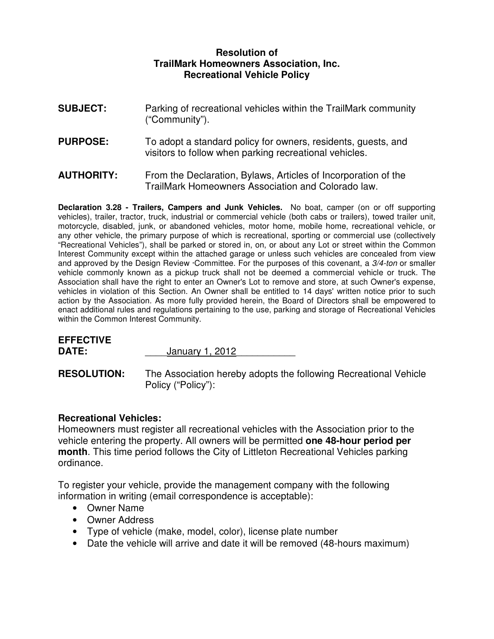## **Resolution of TrailMark Homeowners Association, Inc. Recreational Vehicle Policy**

- **SUBJECT:** Parking of recreational vehicles within the TrailMark community ("Community").
- **PURPOSE:** To adopt a standard policy for owners, residents, quests, and visitors to follow when parking recreational vehicles.
- **AUTHORITY:** From the Declaration, Bylaws, Articles of Incorporation of the TrailMark Homeowners Association and Colorado law.

**Declaration 3.28 - Trailers, Campers and Junk Vehicles.** No boat, camper (on or off supporting vehicles), trailer, tractor, truck, industrial or commercial vehicle (both cabs or trailers), towed trailer unit, motorcycle, disabled, junk, or abandoned vehicles, motor home, mobile home, recreational vehicle, or any other vehicle, the primary purpose of which is recreational, sporting or commercial use (collectively "Recreational Vehicles"), shall be parked or stored in, on, or about any Lot or street within the Common Interest Community except within the attached garage or unless such vehicles are concealed from view and approved by the Design Review ·Committee. For the purposes of this covenant, a 3/4-ton or smaller vehicle commonly known as a pickup truck shall not be deemed a commercial vehicle or truck. The Association shall have the right to enter an Owner's Lot to remove and store, at such Owner's expense, vehicles in violation of this Section. An Owner shall be entitled to 14 days' written notice prior to such action by the Association. As more fully provided herein, the Board of Directors shall be empowered to enact additional rules and regulations pertaining to the use, parking and storage of Recreational Vehicles within the Common Interest Community.

| <b>EFFECTIVE</b> |                 |  |
|------------------|-----------------|--|
| DATE:            | January 1, 2012 |  |
|                  |                 |  |

**RESOLUTION:** The Association hereby adopts the following Recreational Vehicle Policy ("Policy"):

## **Recreational Vehicles:**

Homeowners must register all recreational vehicles with the Association prior to the vehicle entering the property. All owners will be permitted **one 48-hour period per month**. This time period follows the City of Littleton Recreational Vehicles parking ordinance.

To register your vehicle, provide the management company with the following information in writing (email correspondence is acceptable):

- Owner Name
- Owner Address
- Type of vehicle (make, model, color), license plate number
- Date the vehicle will arrive and date it will be removed (48-hours maximum)